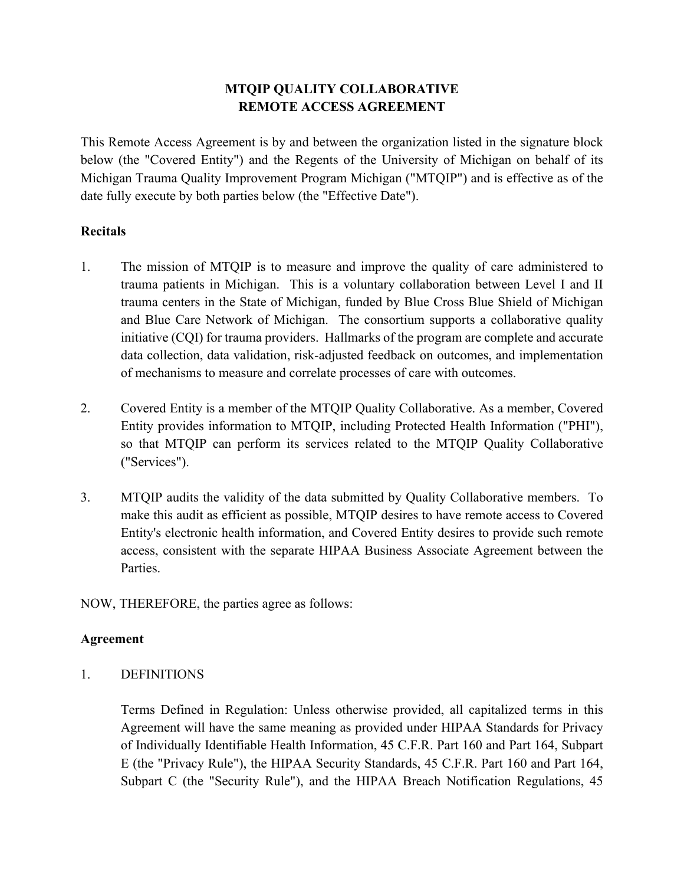# **MTQIP QUALITY COLLABORATIVE REMOTE ACCESS AGREEMENT**

This Remote Access Agreement is by and between the organization listed in the signature block below (the "Covered Entity") and the Regents of the University of Michigan on behalf of its Michigan Trauma Quality Improvement Program Michigan ("MTQIP") and is effective as of the date fully execute by both parties below (the "Effective Date").

#### **Recitals**

- 1. The mission of MTQIP is to measure and improve the quality of care administered to trauma patients in Michigan. This is a voluntary collaboration between Level I and II trauma centers in the State of Michigan, funded by Blue Cross Blue Shield of Michigan and Blue Care Network of Michigan. The consortium supports a collaborative quality initiative (CQI) for trauma providers. Hallmarks of the program are complete and accurate data collection, data validation, risk-adjusted feedback on outcomes, and implementation of mechanisms to measure and correlate processes of care with outcomes.
- 2. Covered Entity is a member of the MTQIP Quality Collaborative. As a member, Covered Entity provides information to MTQIP, including Protected Health Information ("PHI"), so that MTQIP can perform its services related to the MTQIP Quality Collaborative ("Services").
- 3. MTQIP audits the validity of the data submitted by Quality Collaborative members. To make this audit as efficient as possible, MTQIP desires to have remote access to Covered Entity's electronic health information, and Covered Entity desires to provide such remote access, consistent with the separate HIPAA Business Associate Agreement between the Parties.

NOW, THEREFORE, the parties agree as follows:

### **Agreement**

1. DEFINITIONS

Terms Defined in Regulation: Unless otherwise provided, all capitalized terms in this Agreement will have the same meaning as provided under HIPAA Standards for Privacy of Individually Identifiable Health Information, 45 C.F.R. Part 160 and Part 164, Subpart E (the "Privacy Rule"), the HIPAA Security Standards, 45 C.F.R. Part 160 and Part 164, Subpart C (the "Security Rule"), and the HIPAA Breach Notification Regulations, 45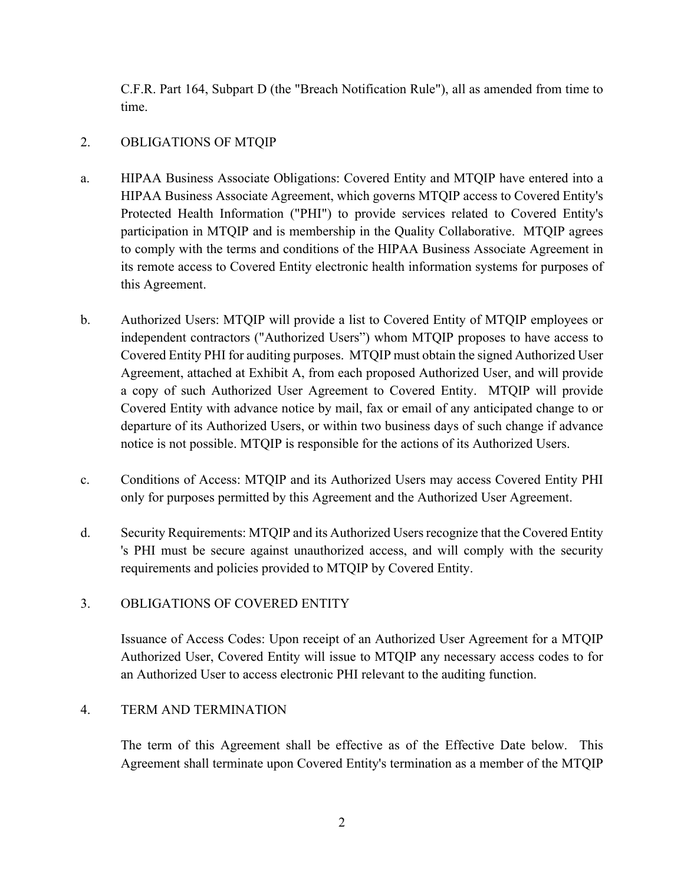C.F.R. Part 164, Subpart D (the "Breach Notification Rule"), all as amended from time to time.

### 2. OBLIGATIONS OF MTQIP

- a. HIPAA Business Associate Obligations: Covered Entity and MTQIP have entered into a HIPAA Business Associate Agreement, which governs MTQIP access to Covered Entity's Protected Health Information ("PHI") to provide services related to Covered Entity's participation in MTQIP and is membership in the Quality Collaborative. MTQIP agrees to comply with the terms and conditions of the HIPAA Business Associate Agreement in its remote access to Covered Entity electronic health information systems for purposes of this Agreement.
- b. Authorized Users: MTQIP will provide a list to Covered Entity of MTQIP employees or independent contractors ("Authorized Users") whom MTQIP proposes to have access to Covered Entity PHI for auditing purposes. MTQIP must obtain the signed Authorized User Agreement, attached at Exhibit A, from each proposed Authorized User, and will provide a copy of such Authorized User Agreement to Covered Entity. MTQIP will provide Covered Entity with advance notice by mail, fax or email of any anticipated change to or departure of its Authorized Users, or within two business days of such change if advance notice is not possible. MTQIP is responsible for the actions of its Authorized Users.
- c. Conditions of Access: MTQIP and its Authorized Users may access Covered Entity PHI only for purposes permitted by this Agreement and the Authorized User Agreement.
- d. Security Requirements: MTQIP and its Authorized Users recognize that the Covered Entity 's PHI must be secure against unauthorized access, and will comply with the security requirements and policies provided to MTQIP by Covered Entity.

### 3. OBLIGATIONS OF COVERED ENTITY

Issuance of Access Codes: Upon receipt of an Authorized User Agreement for a MTQIP Authorized User, Covered Entity will issue to MTQIP any necessary access codes to for an Authorized User to access electronic PHI relevant to the auditing function.

### 4. TERM AND TERMINATION

The term of this Agreement shall be effective as of the Effective Date below. This Agreement shall terminate upon Covered Entity's termination as a member of the MTQIP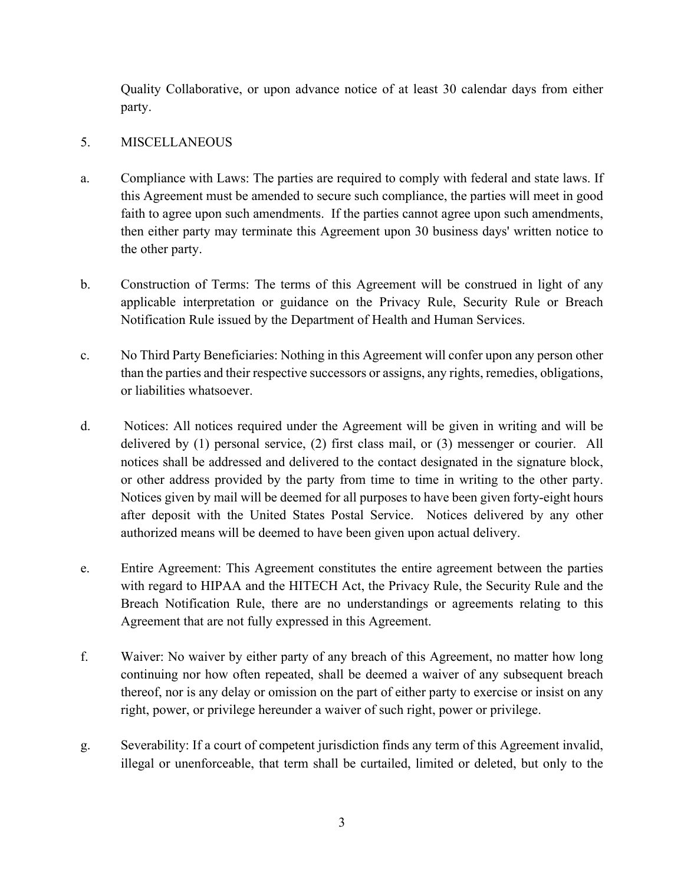Quality Collaborative, or upon advance notice of at least 30 calendar days from either party.

### 5. MISCELLANEOUS

- a. Compliance with Laws: The parties are required to comply with federal and state laws. If this Agreement must be amended to secure such compliance, the parties will meet in good faith to agree upon such amendments. If the parties cannot agree upon such amendments, then either party may terminate this Agreement upon 30 business days' written notice to the other party.
- b. Construction of Terms: The terms of this Agreement will be construed in light of any applicable interpretation or guidance on the Privacy Rule, Security Rule or Breach Notification Rule issued by the Department of Health and Human Services.
- c. No Third Party Beneficiaries: Nothing in this Agreement will confer upon any person other than the parties and their respective successors or assigns, any rights, remedies, obligations, or liabilities whatsoever.
- d. Notices: All notices required under the Agreement will be given in writing and will be delivered by (1) personal service, (2) first class mail, or (3) messenger or courier. All notices shall be addressed and delivered to the contact designated in the signature block, or other address provided by the party from time to time in writing to the other party. Notices given by mail will be deemed for all purposes to have been given forty-eight hours after deposit with the United States Postal Service. Notices delivered by any other authorized means will be deemed to have been given upon actual delivery.
- e. Entire Agreement: This Agreement constitutes the entire agreement between the parties with regard to HIPAA and the HITECH Act, the Privacy Rule, the Security Rule and the Breach Notification Rule, there are no understandings or agreements relating to this Agreement that are not fully expressed in this Agreement.
- f. Waiver: No waiver by either party of any breach of this Agreement, no matter how long continuing nor how often repeated, shall be deemed a waiver of any subsequent breach thereof, nor is any delay or omission on the part of either party to exercise or insist on any right, power, or privilege hereunder a waiver of such right, power or privilege.
- g. Severability: If a court of competent jurisdiction finds any term of this Agreement invalid, illegal or unenforceable, that term shall be curtailed, limited or deleted, but only to the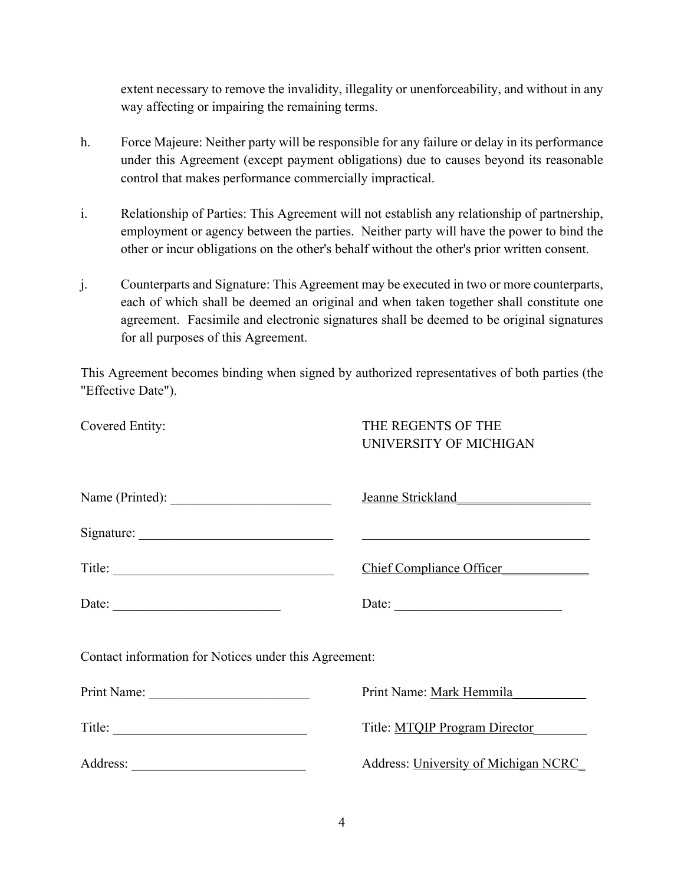extent necessary to remove the invalidity, illegality or unenforceability, and without in any way affecting or impairing the remaining terms.

- h. Force Majeure: Neither party will be responsible for any failure or delay in its performance under this Agreement (except payment obligations) due to causes beyond its reasonable control that makes performance commercially impractical.
- i. Relationship of Parties: This Agreement will not establish any relationship of partnership, employment or agency between the parties. Neither party will have the power to bind the other or incur obligations on the other's behalf without the other's prior written consent.
- j. Counterparts and Signature: This Agreement may be executed in two or more counterparts, each of which shall be deemed an original and when taken together shall constitute one agreement. Facsimile and electronic signatures shall be deemed to be original signatures for all purposes of this Agreement.

This Agreement becomes binding when signed by authorized representatives of both parties (the "Effective Date").

| Covered Entity:                                       | THE REGENTS OF THE<br>UNIVERSITY OF MICHIGAN |  |  |  |  |  |
|-------------------------------------------------------|----------------------------------------------|--|--|--|--|--|
|                                                       | Jeanne Strickland                            |  |  |  |  |  |
|                                                       |                                              |  |  |  |  |  |
| Title: $\qquad \qquad$                                | Chief Compliance Officer                     |  |  |  |  |  |
| Date: $\qquad \qquad$                                 | Date:                                        |  |  |  |  |  |
| Contact information for Notices under this Agreement: |                                              |  |  |  |  |  |
|                                                       | Print Name: Mark Hemmila                     |  |  |  |  |  |
|                                                       | Title: MTQIP Program Director                |  |  |  |  |  |
|                                                       | Address: University of Michigan NCRC         |  |  |  |  |  |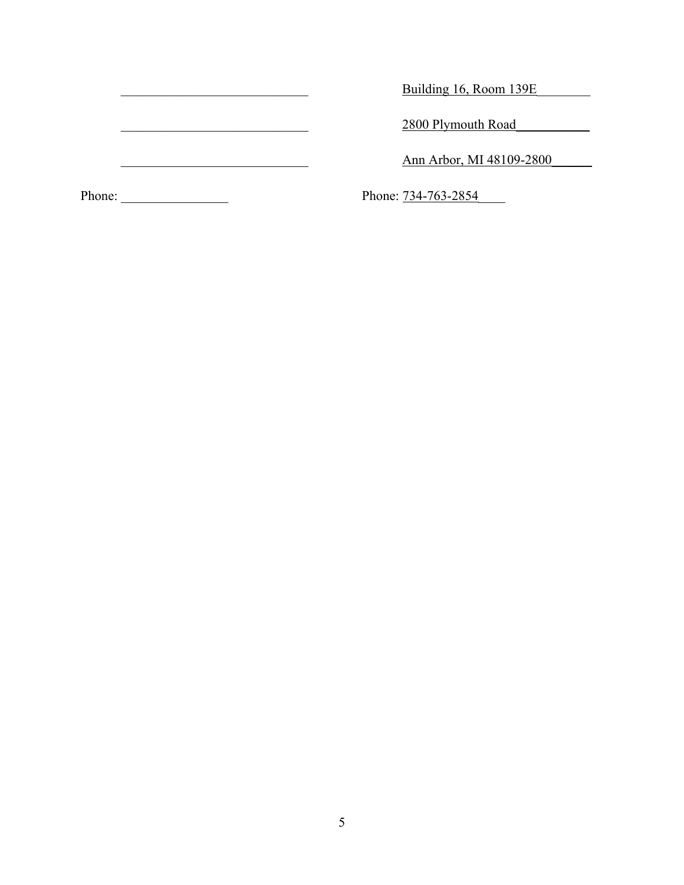Euilding 16, Room 139E

and the same state of the state of the state of the state of the state of the state of the state of the state o

Ann Arbor, MI 48109-2800

Phone: \_\_\_\_\_\_\_\_\_\_\_\_\_\_\_\_ Phone: 734-763-2854\_\_\_\_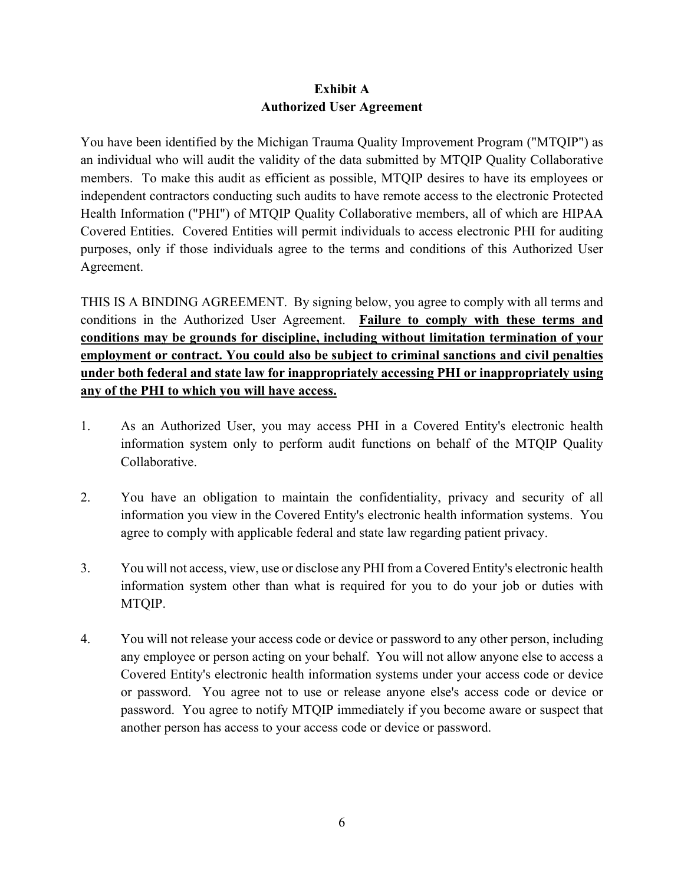# **Exhibit A Authorized User Agreement**

You have been identified by the Michigan Trauma Quality Improvement Program ("MTQIP") as an individual who will audit the validity of the data submitted by MTQIP Quality Collaborative members. To make this audit as efficient as possible, MTQIP desires to have its employees or independent contractors conducting such audits to have remote access to the electronic Protected Health Information ("PHI") of MTQIP Quality Collaborative members, all of which are HIPAA Covered Entities. Covered Entities will permit individuals to access electronic PHI for auditing purposes, only if those individuals agree to the terms and conditions of this Authorized User Agreement.

THIS IS A BINDING AGREEMENT. By signing below, you agree to comply with all terms and conditions in the Authorized User Agreement. **Failure to comply with these terms and conditions may be grounds for discipline, including without limitation termination of your employment or contract. You could also be subject to criminal sanctions and civil penalties under both federal and state law for inappropriately accessing PHI or inappropriately using any of the PHI to which you will have access.**

- 1. As an Authorized User, you may access PHI in a Covered Entity's electronic health information system only to perform audit functions on behalf of the MTQIP Quality Collaborative.
- 2. You have an obligation to maintain the confidentiality, privacy and security of all information you view in the Covered Entity's electronic health information systems. You agree to comply with applicable federal and state law regarding patient privacy.
- 3. You will not access, view, use or disclose any PHI from a Covered Entity's electronic health information system other than what is required for you to do your job or duties with MTQIP.
- 4. You will not release your access code or device or password to any other person, including any employee or person acting on your behalf. You will not allow anyone else to access a Covered Entity's electronic health information systems under your access code or device or password. You agree not to use or release anyone else's access code or device or password. You agree to notify MTQIP immediately if you become aware or suspect that another person has access to your access code or device or password.